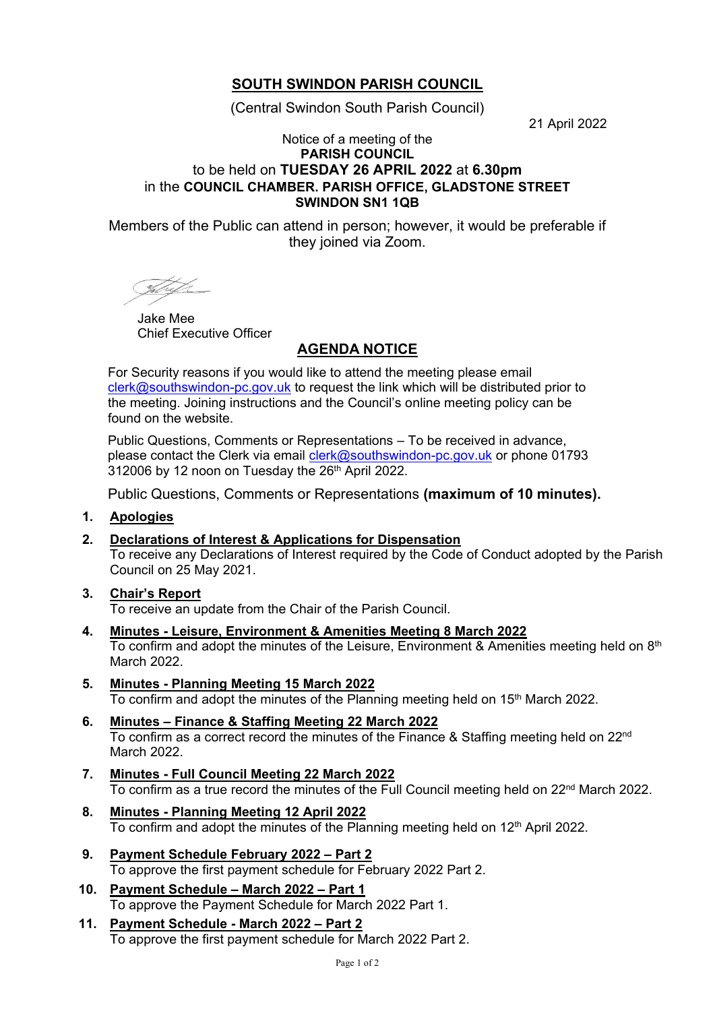# **SOUTH SWINDON PARISH COUNCIL**

(Central Swindon South Parish Council)

21 April 2022

#### Notice of a meeting of the **PARISH COUNCIL** to be held on **TUESDAY 26 APRIL 2022** at **6.30pm** in the **COUNCIL CHAMBER. PARISH OFFICE, GLADSTONE STREET SWINDON SN1 1QB**

Members of the Public can attend in person; however, it would be preferable if they joined via Zoom.

<u>Shet</u>h

Jake Mee Chief Executive Officer

## **AGENDA NOTICE**

For Security reasons if you would like to attend the meeting please email [clerk@southswindon-pc.gov.uk](mailto:clerk@southswindon-pc.gov.uk) to request the link which will be distributed prior to the meeting. Joining instructions and the Council's online meeting policy can be found on the website.

Public Questions, Comments or Representations – To be received in advance, please contact the Clerk via email [clerk@southswindon-pc.gov.uk](mailto:clerk@southswindon-pc.gov.uk) or phone 01793 312006 by 12 noon on Tuesday the 26<sup>th</sup> April 2022.

Public Questions, Comments or Representations **(maximum of 10 minutes).**

### **1. Apologies**

- **2. Declarations of Interest & Applications for Dispensation** To receive any Declarations of Interest required by the Code of Conduct adopted by the Parish Council on 25 May 2021.
- **3. Chair's Report** To receive an update from the Chair of the Parish Council.
- **4. Minutes - Leisure, Environment & Amenities Meeting 8 March 2022** To confirm and adopt the minutes of the Leisure, Environment & Amenities meeting held on  $8<sup>th</sup>$ March 2022
- **5. Minutes - Planning Meeting 15 March 2022** To confirm and adopt the minutes of the Planning meeting held on 15<sup>th</sup> March 2022.
- **6. Minutes – Finance & Staffing Meeting 22 March 2022** To confirm as a correct record the minutes of the Finance & Staffing meeting held on 22<sup>nd</sup> March 2022.
- **7. Minutes - Full Council Meeting 22 March 2022** To confirm as a true record the minutes of the Full Council meeting held on 22<sup>nd</sup> March 2022.
- **8. Minutes - Planning Meeting 12 April 2022** To confirm and adopt the minutes of the Planning meeting held on 12<sup>th</sup> April 2022.
- **9. Payment Schedule February 2022 – Part 2** To approve the first payment schedule for February 2022 Part 2.
- **10. Payment Schedule – March 2022 – Part 1** To approve the Payment Schedule for March 2022 Part 1.
- **11. Payment Schedule - March 2022 – Part 2** To approve the first payment schedule for March 2022 Part 2.